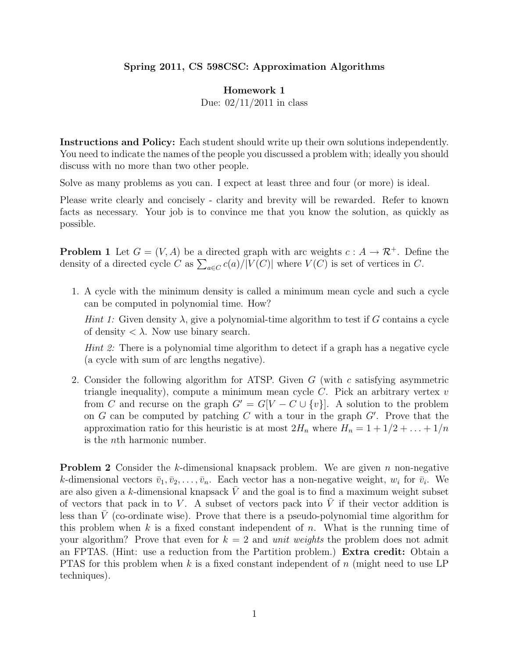## Spring 2011, CS 598CSC: Approximation Algorithms

## Homework 1

Due: 02/11/2011 in class

Instructions and Policy: Each student should write up their own solutions independently. You need to indicate the names of the people you discussed a problem with; ideally you should discuss with no more than two other people.

Solve as many problems as you can. I expect at least three and four (or more) is ideal.

Please write clearly and concisely - clarity and brevity will be rewarded. Refer to known facts as necessary. Your job is to convince me that you know the solution, as quickly as possible.

**Problem 1** Let  $G = (V, A)$  be a directed graph with arc weights  $c : A \to \mathcal{R}^+$ . Define the density of a directed cycle C as  $\sum_{a \in C} c(a)/|V(C)|$  where  $V(C)$  is set of vertices in C.

1. A cycle with the minimum density is called a minimum mean cycle and such a cycle can be computed in polynomial time. How?

Hint 1: Given density  $\lambda$ , give a polynomial-time algorithm to test if G contains a cycle of density  $\langle \lambda$ . Now use binary search.

*Hint 2:* There is a polynomial time algorithm to detect if a graph has a negative cycle (a cycle with sum of arc lengths negative).

2. Consider the following algorithm for ATSP. Given G (with c satisfying asymmetric triangle inequality), compute a minimum mean cycle  $C$ . Pick an arbitrary vertex  $v$ from C and recurse on the graph  $G' = G[V - C \cup \{v\}]$ . A solution to the problem on G can be computed by patching C with a tour in the graph  $G'$ . Prove that the approximation ratio for this heuristic is at most  $2H_n$  where  $H_n = 1 + 1/2 + \ldots + 1/n$ is the nth harmonic number.

**Problem 2** Consider the k-dimensional knapsack problem. We are given n non-negative k-dimensional vectors  $\bar{v}_1, \bar{v}_2, \ldots, \bar{v}_n$ . Each vector has a non-negative weight,  $w_i$  for  $\bar{v}_i$ . We are also given a k-dimensional knapsack  $\overline{V}$  and the goal is to find a maximum weight subset of vectors that pack in to V. A subset of vectors pack into  $\overline{V}$  if their vector addition is less than  $\overline{V}$  (co-ordinate wise). Prove that there is a pseudo-polynomial time algorithm for this problem when k is a fixed constant independent of n. What is the running time of your algorithm? Prove that even for  $k = 2$  and unit weights the problem does not admit an FPTAS. (Hint: use a reduction from the Partition problem.) Extra credit: Obtain a PTAS for this problem when k is a fixed constant independent of  $n$  (might need to use LP techniques).